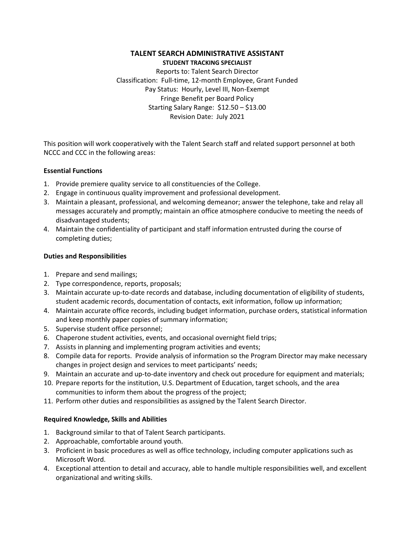# **TALENT SEARCH ADMINISTRATIVE ASSISTANT STUDENT TRACKING SPECIALIST**

Reports to: Talent Search Director Classification: Full-time, 12-month Employee, Grant Funded Pay Status: Hourly, Level III, Non-Exempt Fringe Benefit per Board Policy Starting Salary Range: \$12.50 – \$13.00 Revision Date: July 2021

This position will work cooperatively with the Talent Search staff and related support personnel at both NCCC and CCC in the following areas:

### **Essential Functions**

- 1. Provide premiere quality service to all constituencies of the College.
- 2. Engage in continuous quality improvement and professional development.
- 3. Maintain a pleasant, professional, and welcoming demeanor; answer the telephone, take and relay all messages accurately and promptly; maintain an office atmosphere conducive to meeting the needs of disadvantaged students;
- 4. Maintain the confidentiality of participant and staff information entrusted during the course of completing duties;

# **Duties and Responsibilities**

- 1. Prepare and send mailings;
- 2. Type correspondence, reports, proposals;
- 3. Maintain accurate up-to-date records and database, including documentation of eligibility of students, student academic records, documentation of contacts, exit information, follow up information;
- 4. Maintain accurate office records, including budget information, purchase orders, statistical information and keep monthly paper copies of summary information;
- 5. Supervise student office personnel;
- 6. Chaperone student activities, events, and occasional overnight field trips;
- 7. Assists in planning and implementing program activities and events;
- 8. Compile data for reports. Provide analysis of information so the Program Director may make necessary changes in project design and services to meet participants' needs;
- 9. Maintain an accurate and up-to-date inventory and check out procedure for equipment and materials;
- 10. Prepare reports for the institution, U.S. Department of Education, target schools, and the area communities to inform them about the progress of the project;
- 11. Perform other duties and responsibilities as assigned by the Talent Search Director.

# **Required Knowledge, Skills and Abilities**

- 1. Background similar to that of Talent Search participants.
- 2. Approachable, comfortable around youth.
- 3. Proficient in basic procedures as well as office technology, including computer applications such as Microsoft Word.
- 4. Exceptional attention to detail and accuracy, able to handle multiple responsibilities well, and excellent organizational and writing skills.